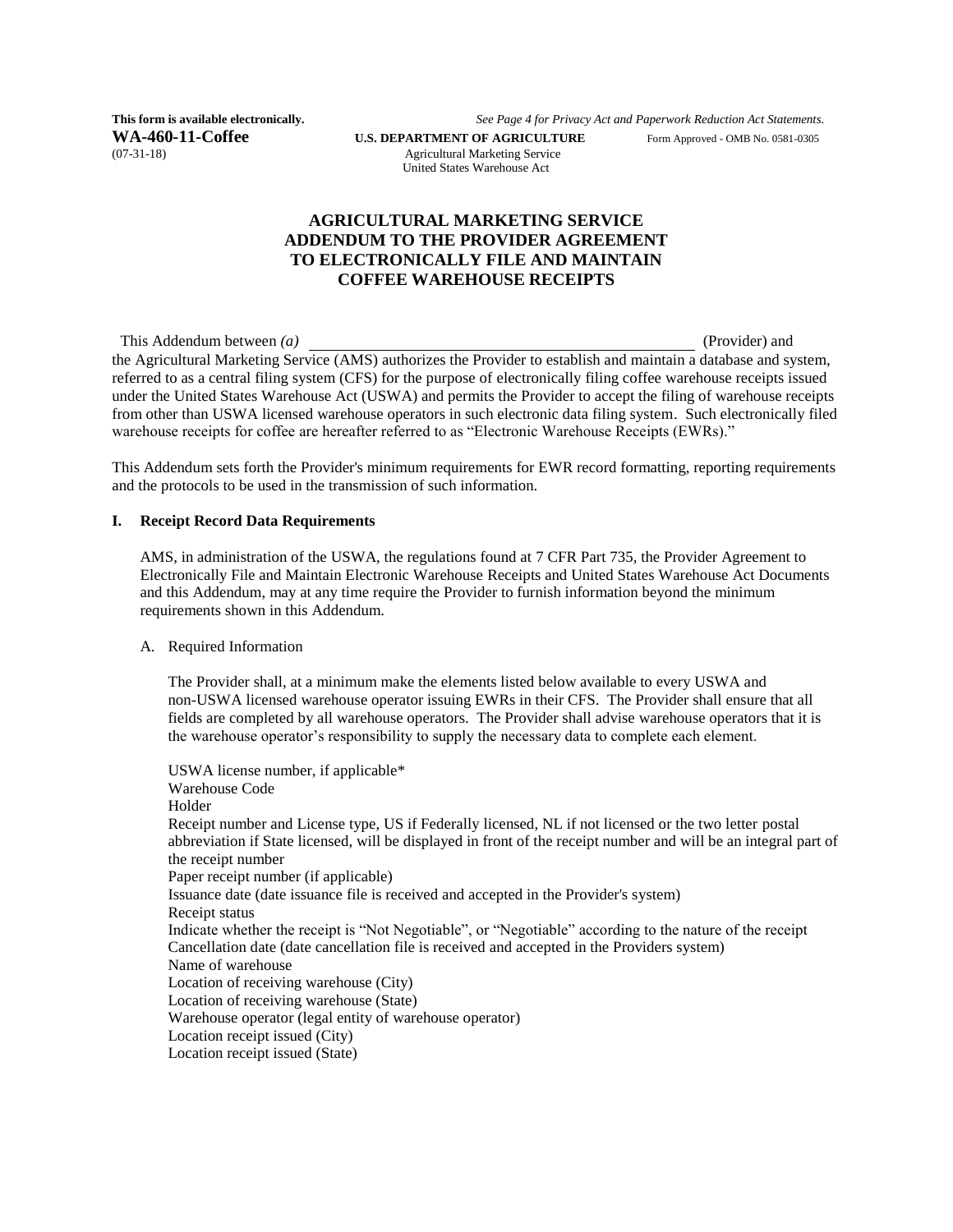**WA-460-11-Coffee U.S. DEPARTMENT OF AGRICULTURE** Form Approved - OMB No. 0581-0305 (07-31-18)

**This form is available electronically.** *See Page 4 for Privacy Act and Paperwork Reduction Act Statements.*

Agricultural Marketing Service United States Warehouse Act

### **AGRICULTURAL MARKETING SERVICE ADDENDUM TO THE PROVIDER AGREEMENT TO ELECTRONICALLY FILE AND MAINTAIN COFFEE WAREHOUSE RECEIPTS**

This Addendum between *(a)* (Provider) and (Provider) and (Provider) and (Provider) and (Provider) and (Provider) and (Provider) and (Provider) and (Provider) and (Provider) and (Provider) and (Provider) and (Provider) and the Agricultural Marketing Service (AMS) authorizes the Provider to establish and maintain a database and system, referred to as a central filing system (CFS) for the purpose of electronically filing coffee warehouse receipts issued under the United States Warehouse Act (USWA) and permits the Provider to accept the filing of warehouse receipts from other than USWA licensed warehouse operators in such electronic data filing system. Such electronically filed warehouse receipts for coffee are hereafter referred to as "Electronic Warehouse Receipts (EWRs)."

This Addendum sets forth the Provider's minimum requirements for EWR record formatting, reporting requirements and the protocols to be used in the transmission of such information.

#### **I. Receipt Record Data Requirements**

AMS, in administration of the USWA, the regulations found at 7 CFR Part 735, the Provider Agreement to Electronically File and Maintain Electronic Warehouse Receipts and United States Warehouse Act Documents and this Addendum, may at any time require the Provider to furnish information beyond the minimum requirements shown in this Addendum.

A. Required Information

The Provider shall, at a minimum make the elements listed below available to every USWA and non-USWA licensed warehouse operator issuing EWRs in their CFS. The Provider shall ensure that all fields are completed by all warehouse operators. The Provider shall advise warehouse operators that it is the warehouse operator's responsibility to supply the necessary data to complete each element.

USWA license number, if applicable\* Warehouse Code Holder Receipt number and License type, US if Federally licensed, NL if not licensed or the two letter postal abbreviation if State licensed, will be displayed in front of the receipt number and will be an integral part of the receipt number Paper receipt number (if applicable) Issuance date (date issuance file is received and accepted in the Provider's system) Receipt status Indicate whether the receipt is "Not Negotiable", or "Negotiable" according to the nature of the receipt Cancellation date (date cancellation file is received and accepted in the Providers system) Name of warehouse Location of receiving warehouse (City) Location of receiving warehouse (State) Warehouse operator (legal entity of warehouse operator) Location receipt issued (City) Location receipt issued (State)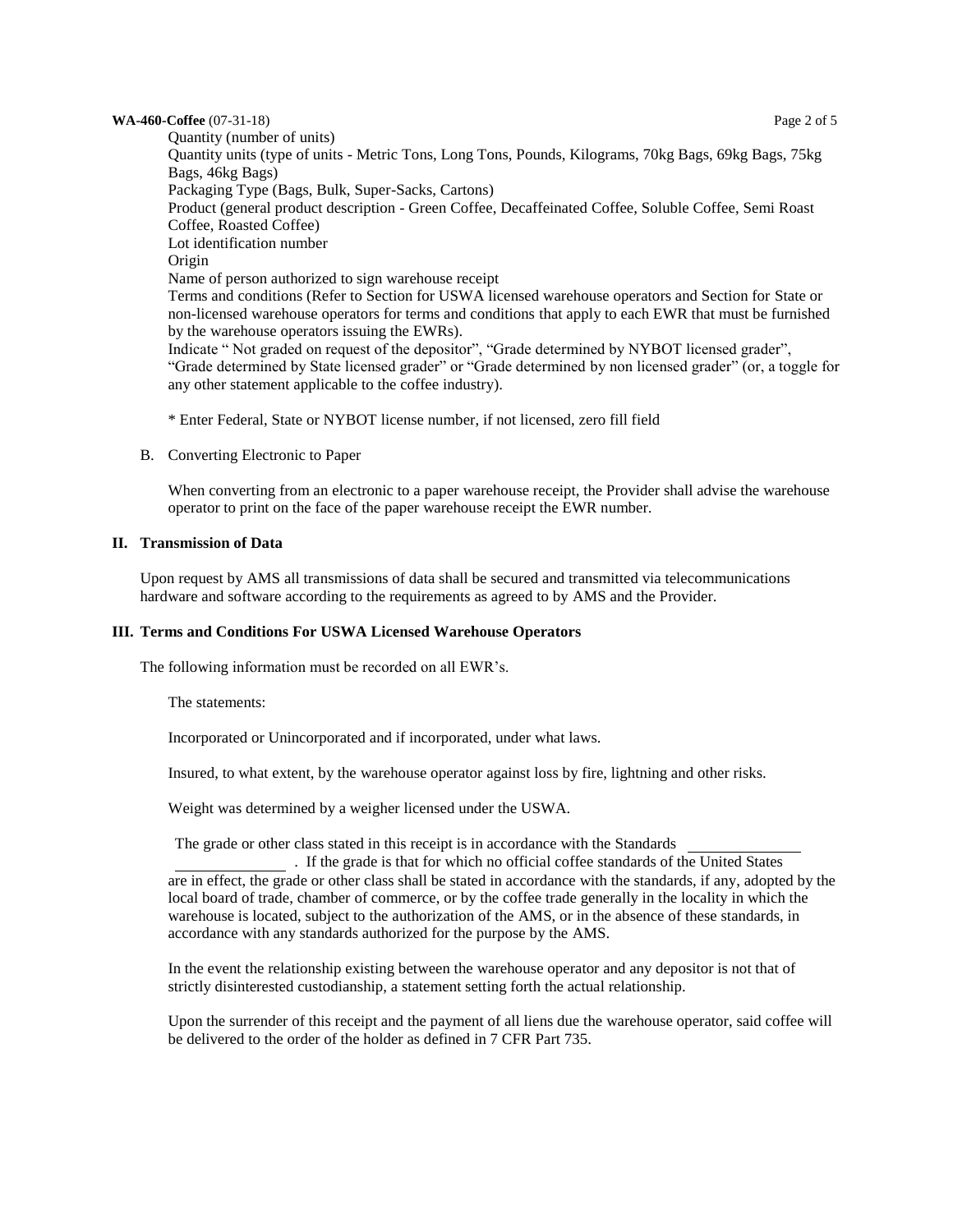#### **WA-460-Coffee** (07-31-18) Page 2 of 5

Quantity (number of units) Quantity units (type of units - Metric Tons, Long Tons, Pounds, Kilograms, 70kg Bags, 69kg Bags, 75kg Bags, 46kg Bags) Packaging Type (Bags, Bulk, Super-Sacks, Cartons) Product (general product description - Green Coffee, Decaffeinated Coffee, Soluble Coffee, Semi Roast Coffee, Roasted Coffee) Lot identification number Origin Name of person authorized to sign warehouse receipt Terms and conditions (Refer to Section for USWA licensed warehouse operators and Section for State or non-licensed warehouse operators for terms and conditions that apply to each EWR that must be furnished by the warehouse operators issuing the EWRs). Indicate " Not graded on request of the depositor", "Grade determined by NYBOT licensed grader", "Grade determined by State licensed grader" or "Grade determined by non licensed grader" (or, a toggle for any other statement applicable to the coffee industry).

\* Enter Federal, State or NYBOT license number, if not licensed, zero fill field

B. Converting Electronic to Paper

When converting from an electronic to a paper warehouse receipt, the Provider shall advise the warehouse operator to print on the face of the paper warehouse receipt the EWR number.

#### **II. Transmission of Data**

Upon request by AMS all transmissions of data shall be secured and transmitted via telecommunications hardware and software according to the requirements as agreed to by AMS and the Provider.

#### **III. Terms and Conditions For USWA Licensed Warehouse Operators**

The following information must be recorded on all EWR's.

The statements:

Incorporated or Unincorporated and if incorporated, under what laws.

Insured, to what extent, by the warehouse operator against loss by fire, lightning and other risks.

Weight was determined by a weigher licensed under the USWA.

The grade or other class stated in this receipt is in accordance with the Standards

. If the grade is that for which no official coffee standards of the United States are in effect, the grade or other class shall be stated in accordance with the standards, if any, adopted by the local board of trade, chamber of commerce, or by the coffee trade generally in the locality in which the warehouse is located, subject to the authorization of the AMS, or in the absence of these standards, in accordance with any standards authorized for the purpose by the AMS.

In the event the relationship existing between the warehouse operator and any depositor is not that of strictly disinterested custodianship, a statement setting forth the actual relationship.

Upon the surrender of this receipt and the payment of all liens due the warehouse operator, said coffee will be delivered to the order of the holder as defined in 7 CFR Part 735.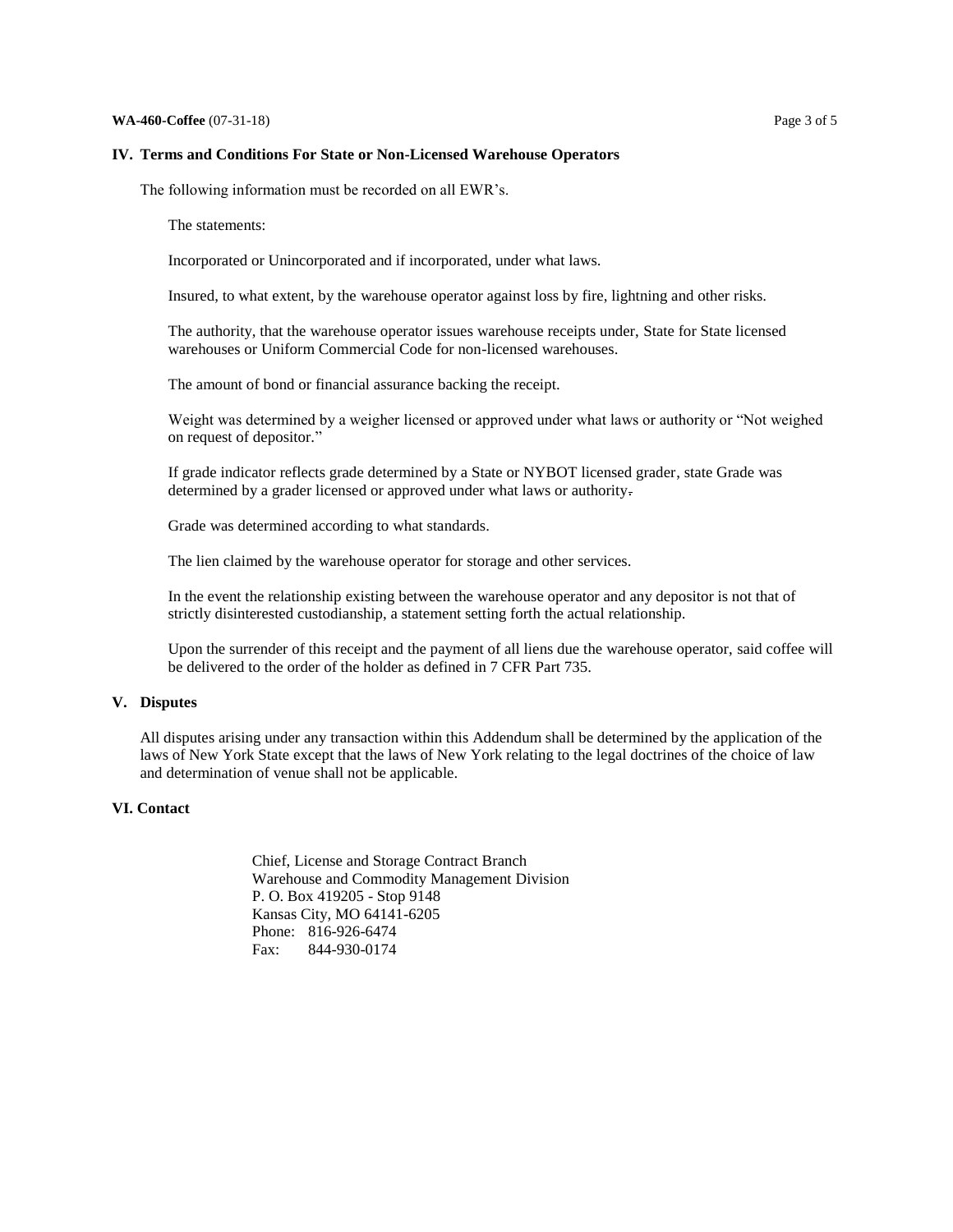#### **IV. Terms and Conditions For State or Non-Licensed Warehouse Operators**

The following information must be recorded on all EWR's.

The statements:

Incorporated or Unincorporated and if incorporated, under what laws.

Insured, to what extent, by the warehouse operator against loss by fire, lightning and other risks.

The authority, that the warehouse operator issues warehouse receipts under, State for State licensed warehouses or Uniform Commercial Code for non-licensed warehouses.

The amount of bond or financial assurance backing the receipt.

Weight was determined by a weigher licensed or approved under what laws or authority or "Not weighed on request of depositor."

If grade indicator reflects grade determined by a State or NYBOT licensed grader, state Grade was determined by a grader licensed or approved under what laws or authority.

Grade was determined according to what standards.

The lien claimed by the warehouse operator for storage and other services.

In the event the relationship existing between the warehouse operator and any depositor is not that of strictly disinterested custodianship, a statement setting forth the actual relationship.

Upon the surrender of this receipt and the payment of all liens due the warehouse operator, said coffee will be delivered to the order of the holder as defined in 7 CFR Part 735.

#### **V. Disputes**

All disputes arising under any transaction within this Addendum shall be determined by the application of the laws of New York State except that the laws of New York relating to the legal doctrines of the choice of law and determination of venue shall not be applicable.

#### **VI. Contact**

Chief, License and Storage Contract Branch Warehouse and Commodity Management Division P. O. Box 419205 - Stop 9148 Kansas City, MO 64141-6205 Phone: 816-926-6474 Fax: 844-930-0174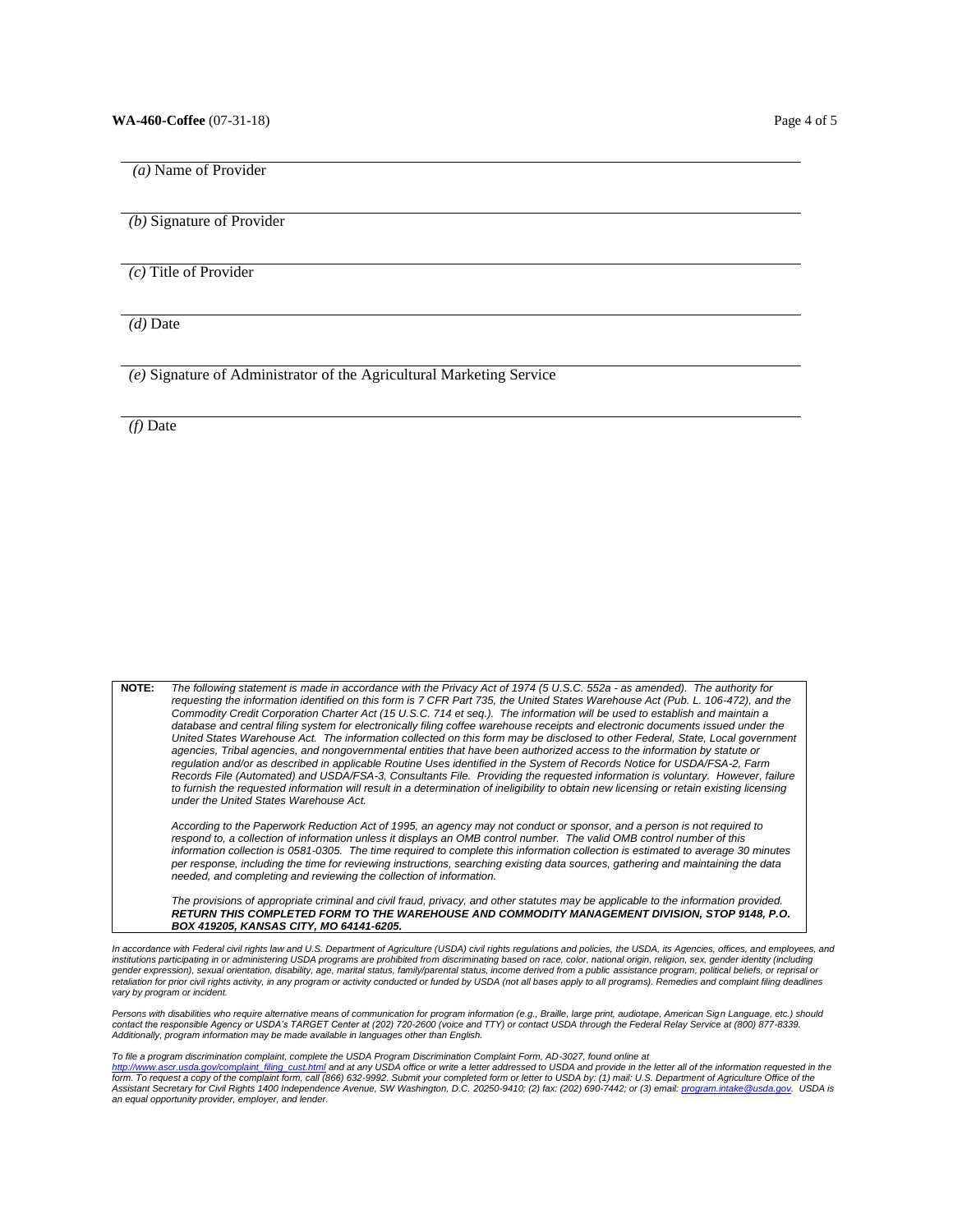*(a)* Name of Provider

*(b)* Signature of Provider

*(c)* Title of Provider

*(d)* Date

*(e)* Signature of Administrator of the Agricultural Marketing Service

*(f)* Date

**NOTE:** *The following statement is made in accordance with the Privacy Act of 1974 (5 U.S.C. 552a - as amended). The authority for requesting the information identified on this form is 7 CFR Part 735, the United States Warehouse Act (Pub. L. 106-472), and the Commodity Credit Corporation Charter Act (15 U.S.C. 714 et seq.). The information will be used to establish and maintain a*  database and central filing system for electronically filing coffee warehouse receipts and electronic documents issued under the *United States Warehouse Act. The information collected on this form may be disclosed to other Federal, State, Local government agencies, Tribal agencies, and nongovernmental entities that have been authorized access to the information by statute or regulation and/or as described in applicable Routine Uses identified in the System of Records Notice for USDA/FSA-2, Farm Records File (Automated) and USDA/FSA-3, Consultants File. Providing the requested information is voluntary. However, failure*  to furnish the requested information will result in a determination of ineligibility to obtain new licensing or retain existing licensing *under the United States Warehouse Act. According to the Paperwork Reduction Act of 1995, an agency may not conduct or sponsor, and a person is not required to respond to, a collection of information unless it displays an OMB control number. The valid OMB control number of this information collection is 0581-0305. The time required to complete this information collection is estimated to average 30 minutes per response, including the time for reviewing instructions, searching existing data sources, gathering and maintaining the data needed, and completing and reviewing the collection of information.* 

The provisions of appropriate criminal and civil fraud, privacy, and other statutes may be applicable to the information provided. *RETURN THIS COMPLETED FORM TO THE WAREHOUSE AND COMMODITY MANAGEMENT DIVISION, STOP 9148, P.O. BOX 419205, KANSAS CITY, MO 64141-6205.*

In accordance with Federal civil rights law and U.S. Department of Agriculture (USDA) civil rights regulations and policies, the USDA, its Agencies, offices, and employees, and *institutions participating in or administering USDA programs are prohibited from discriminating based on race, color, national origin, religion, sex, gender identity (including*  gender expression), sexual orientation, disability, age, marital status, family/parental status, income derived from a public assistance program, political beliefs, or reprisal or<br>retaliation for prior civil rights activit *vary by program or incident.* 

Persons with disabilities who require alternative means of communication for program information (e.g., Braille, large print, audiotape, American Sign Language, etc.) should<br>contact the responsible Agency or USDA's TARGET *Additionally, program information may be made available in languages other than English.* 

*To file a program discrimination complaint, complete the USDA Program Discrimination Complaint Form, AD-3027, found online at* 

<u>[http://www.ascr.usda.gov/complaint\\_filing\\_cust.html](http://www.ascr.usda.gov/complaint_filing_cust.html)</u> and at any USDA office or write a letter addressed to USDA and provide in the letter all of the information requested in the<br>form. To request a copy of the complaint fo *an equal opportunity provider, employer, and lender.*